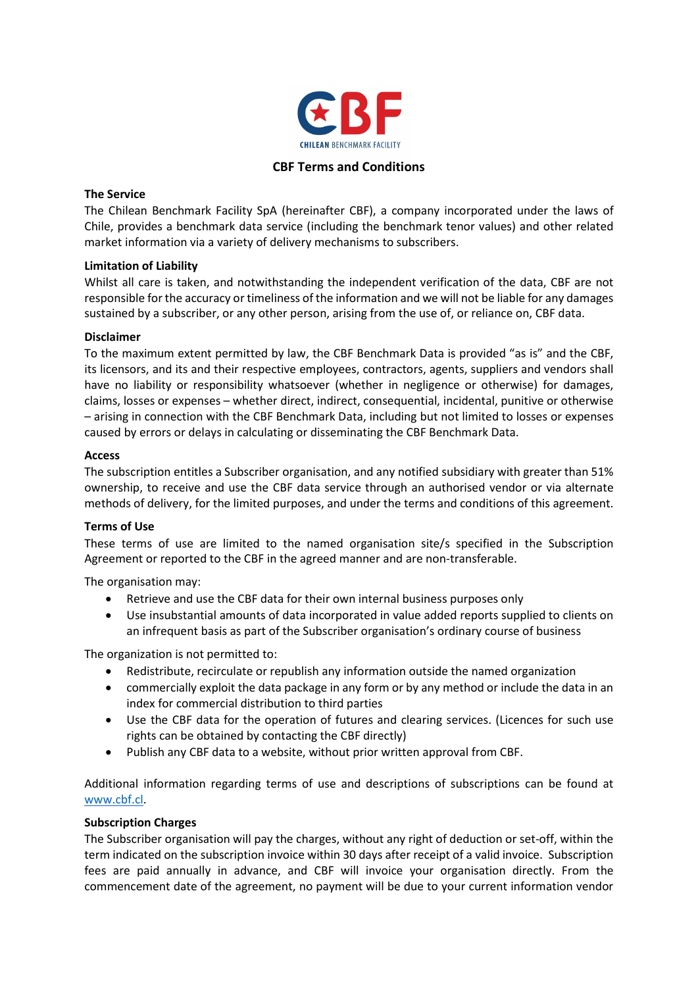

# CBF Terms and Conditions

# The Service

The Chilean Benchmark Facility SpA (hereinafter CBF), a company incorporated under the laws of Chile, provides a benchmark data service (including the benchmark tenor values) and other related market information via a variety of delivery mechanisms to subscribers.

## Limitation of Liability

Whilst all care is taken, and notwithstanding the independent verification of the data, CBF are not responsible for the accuracy or timeliness of the information and we will not be liable for any damages sustained by a subscriber, or any other person, arising from the use of, or reliance on, CBF data.

## Disclaimer

To the maximum extent permitted by law, the CBF Benchmark Data is provided "as is" and the CBF, its licensors, and its and their respective employees, contractors, agents, suppliers and vendors shall have no liability or responsibility whatsoever (whether in negligence or otherwise) for damages, claims, losses or expenses – whether direct, indirect, consequential, incidental, punitive or otherwise – arising in connection with the CBF Benchmark Data, including but not limited to losses or expenses caused by errors or delays in calculating or disseminating the CBF Benchmark Data.

## Access

The subscription entitles a Subscriber organisation, and any notified subsidiary with greater than 51% ownership, to receive and use the CBF data service through an authorised vendor or via alternate methods of delivery, for the limited purposes, and under the terms and conditions of this agreement.

# Terms of Use

These terms of use are limited to the named organisation site/s specified in the Subscription Agreement or reported to the CBF in the agreed manner and are non-transferable.

The organisation may:

- Retrieve and use the CBF data for their own internal business purposes only
- Use insubstantial amounts of data incorporated in value added reports supplied to clients on an infrequent basis as part of the Subscriber organisation's ordinary course of business

The organization is not permitted to:

- Redistribute, recirculate or republish any information outside the named organization
- commercially exploit the data package in any form or by any method or include the data in an index for commercial distribution to third parties
- Use the CBF data for the operation of futures and clearing services. (Licences for such use rights can be obtained by contacting the CBF directly)
- Publish any CBF data to a website, without prior written approval from CBF.

Additional information regarding terms of use and descriptions of subscriptions can be found at www.cbf.cl.

# Subscription Charges

The Subscriber organisation will pay the charges, without any right of deduction or set-off, within the term indicated on the subscription invoice within 30 days after receipt of a valid invoice. Subscription fees are paid annually in advance, and CBF will invoice your organisation directly. From the commencement date of the agreement, no payment will be due to your current information vendor